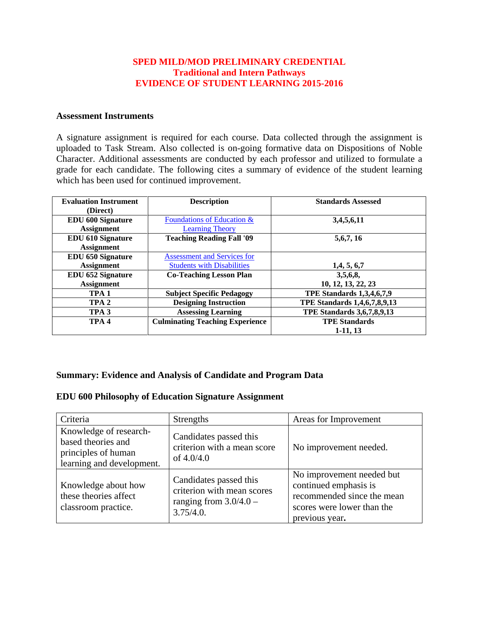#### **SPED MILD/MOD PRELIMINARY CREDENTIAL Traditional and Intern Pathways EVIDENCE OF STUDENT LEARNING 2015-2016**

#### **Assessment Instruments**

A signature assignment is required for each course. Data collected through the assignment is uploaded to Task Stream. Also collected is on-going formative data on Dispositions of Noble Character. Additional assessments are conducted by each professor and utilized to formulate a grade for each candidate. The following cites a summary of evidence of the student learning which has been used for continued improvement.

| <b>Evaluation Instrument</b> | <b>Description</b>                     | <b>Standards Assessed</b>           |
|------------------------------|----------------------------------------|-------------------------------------|
| (Direct)                     |                                        |                                     |
| <b>EDU 600 Signature</b>     | Foundations of Education $\&$          | 3,4,5,6,11                          |
| <b>Assignment</b>            | <b>Learning Theory</b>                 |                                     |
| <b>EDU 610 Signature</b>     | <b>Teaching Reading Fall '09</b>       | 5, 6, 7, 16                         |
| <b>Assignment</b>            |                                        |                                     |
| <b>EDU 650 Signature</b>     | <b>Assessment and Services for</b>     |                                     |
| <b>Assignment</b>            | <b>Students with Disabilities</b>      | 1,4,5,6,7                           |
| <b>EDU 652 Signature</b>     | <b>Co-Teaching Lesson Plan</b>         | 3,5,6,8,                            |
| <b>Assignment</b>            |                                        | 10, 12, 13, 22, 23                  |
| TPA <sub>1</sub>             | <b>Subject Specific Pedagogy</b>       | <b>TPE Standards 1,3,4,6,7,9</b>    |
| TPA <sub>2</sub>             | <b>Designing Instruction</b>           | <b>TPE Standards 1,4,6,7,8,9,13</b> |
| TPA <sub>3</sub>             | <b>Assessing Learning</b>              | <b>TPE Standards 3,6,7,8,9,13</b>   |
| TPA <sub>4</sub>             | <b>Culminating Teaching Experience</b> | <b>TPE Standards</b>                |
|                              |                                        | $1-11, 13$                          |

#### **Summary: Evidence and Analysis of Candidate and Program Data**

#### **EDU 600 Philosophy of Education Signature Assignment**

| Criteria                                                                                         | <b>Strengths</b>                                                                              | Areas for Improvement                                                                                                            |
|--------------------------------------------------------------------------------------------------|-----------------------------------------------------------------------------------------------|----------------------------------------------------------------------------------------------------------------------------------|
| Knowledge of research-<br>based theories and<br>principles of human<br>learning and development. | Candidates passed this<br>criterion with a mean score<br>of $4.0/4.0$                         | No improvement needed.                                                                                                           |
| Knowledge about how<br>these theories affect<br>classroom practice.                              | Candidates passed this<br>criterion with mean scores<br>ranging from $3.0/4.0$ -<br>3.75/4.0. | No improvement needed but<br>continued emphasis is<br>recommended since the mean<br>scores were lower than the<br>previous year. |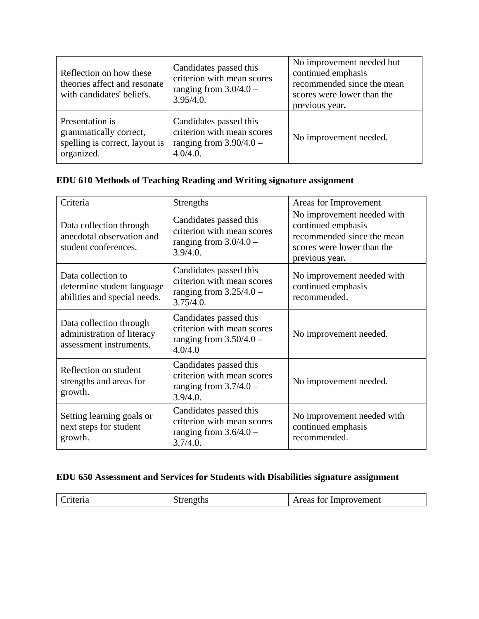| Reflection on how these<br>theories affect and resonate<br>with candidates' beliefs.      | Candidates passed this<br>criterion with mean scores<br>ranging from $3.0/4.0$ -<br>$3.95/4.0$ . | No improvement needed but<br>continued emphasis<br>recommended since the mean<br>scores were lower than the<br>previous year. |
|-------------------------------------------------------------------------------------------|--------------------------------------------------------------------------------------------------|-------------------------------------------------------------------------------------------------------------------------------|
| Presentation is<br>grammatically correct,<br>spelling is correct, layout is<br>organized. | Candidates passed this<br>criterion with mean scores<br>ranging from $3.90/4.0 -$<br>4.0/4.0.    | No improvement needed.                                                                                                        |

# **EDU 610 Methods of Teaching Reading and Writing signature assignment**

| Criteria                                                                         | <b>Strengths</b>                                                                               | Areas for Improvement                                                                                                          |
|----------------------------------------------------------------------------------|------------------------------------------------------------------------------------------------|--------------------------------------------------------------------------------------------------------------------------------|
| Data collection through<br>anecdotal observation and<br>student conferences.     | Candidates passed this<br>criterion with mean scores<br>ranging from $3.0/4.0$ -<br>3.9/4.0.   | No improvement needed with<br>continued emphasis<br>recommended since the mean<br>scores were lower than the<br>previous year. |
| Data collection to<br>determine student language<br>abilities and special needs. | Candidates passed this<br>criterion with mean scores<br>ranging from $3.25/4.0 -$<br>3.75/4.0. | No improvement needed with<br>continued emphasis<br>recommended.                                                               |
| Data collection through<br>administration of literacy<br>assessment instruments. | Candidates passed this<br>criterion with mean scores<br>ranging from $3.50/4.0$ -<br>4.0/4.0   | No improvement needed.                                                                                                         |
| Reflection on student<br>strengths and areas for<br>growth.                      | Candidates passed this<br>criterion with mean scores<br>ranging from $3.7/4.0 -$<br>3.9/4.0.   | No improvement needed.                                                                                                         |
| Setting learning goals or<br>next steps for student<br>growth.                   | Candidates passed this<br>criterion with mean scores<br>ranging from $3.6/4.0$ –<br>3.7/4.0.   | No improvement needed with<br>continued emphasis<br>recommended.                                                               |

# **EDU 650 Assessment and Services for Students with Disabilities signature assignment**

| Criteria | strengths | Areas for Improvement |
|----------|-----------|-----------------------|
|          |           |                       |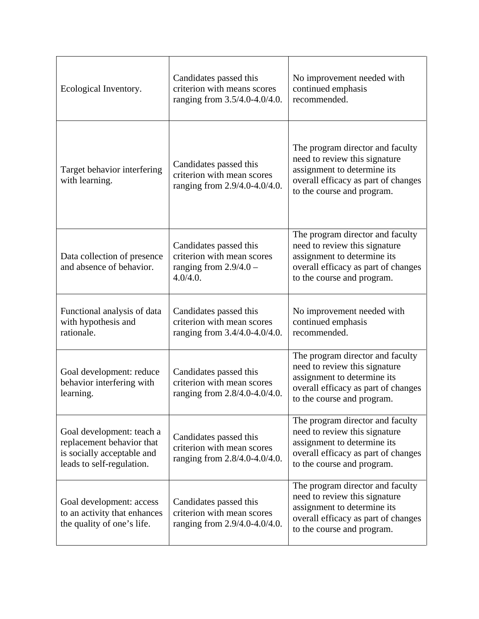| Ecological Inventory.                                                                                             | Candidates passed this<br>criterion with means scores<br>ranging from 3.5/4.0-4.0/4.0.       | No improvement needed with<br>continued emphasis<br>recommended.                                                                                                      |
|-------------------------------------------------------------------------------------------------------------------|----------------------------------------------------------------------------------------------|-----------------------------------------------------------------------------------------------------------------------------------------------------------------------|
| Target behavior interfering<br>with learning.                                                                     | Candidates passed this<br>criterion with mean scores<br>ranging from 2.9/4.0-4.0/4.0.        | The program director and faculty<br>need to review this signature<br>assignment to determine its<br>overall efficacy as part of changes<br>to the course and program. |
| Data collection of presence<br>and absence of behavior.                                                           | Candidates passed this<br>criterion with mean scores<br>ranging from $2.9/4.0 -$<br>4.0/4.0. | The program director and faculty<br>need to review this signature<br>assignment to determine its<br>overall efficacy as part of changes<br>to the course and program. |
| Functional analysis of data<br>with hypothesis and<br>rationale.                                                  | Candidates passed this<br>criterion with mean scores<br>ranging from 3.4/4.0-4.0/4.0.        | No improvement needed with<br>continued emphasis<br>recommended.                                                                                                      |
| Goal development: reduce<br>behavior interfering with<br>learning.                                                | Candidates passed this<br>criterion with mean scores<br>ranging from 2.8/4.0-4.0/4.0.        | The program director and faculty<br>need to review this signature<br>assignment to determine its<br>overall efficacy as part of changes<br>to the course and program. |
| Goal development: teach a<br>replacement behavior that<br>is socially acceptable and<br>leads to self-regulation. | Candidates passed this<br>criterion with mean scores<br>ranging from 2.8/4.0-4.0/4.0.        | The program director and faculty<br>need to review this signature<br>assignment to determine its<br>overall efficacy as part of changes<br>to the course and program. |
| Goal development: access<br>to an activity that enhances<br>the quality of one's life.                            | Candidates passed this<br>criterion with mean scores<br>ranging from 2.9/4.0-4.0/4.0.        | The program director and faculty<br>need to review this signature<br>assignment to determine its<br>overall efficacy as part of changes<br>to the course and program. |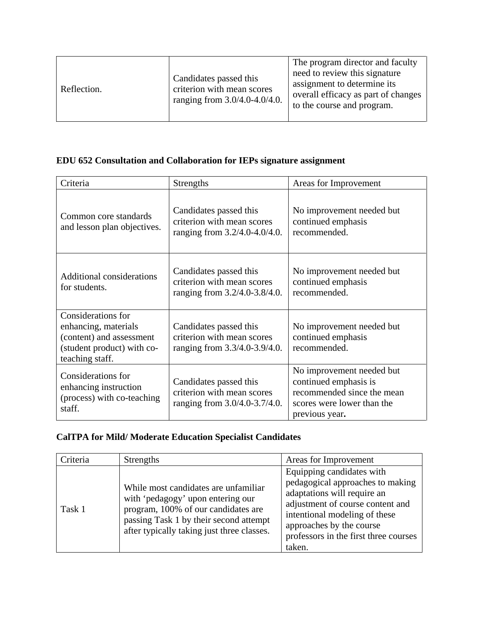| Reflection. | Candidates passed this<br>criterion with mean scores<br>ranging from 3.0/4.0-4.0/4.0. | The program director and faculty<br>need to review this signature<br>assignment to determine its<br>overall efficacy as part of changes<br>to the course and program. |
|-------------|---------------------------------------------------------------------------------------|-----------------------------------------------------------------------------------------------------------------------------------------------------------------------|
|-------------|---------------------------------------------------------------------------------------|-----------------------------------------------------------------------------------------------------------------------------------------------------------------------|

# **EDU 652 Consultation and Collaboration for IEPs signature assignment**

| Criteria                                                                                                                | <b>Strengths</b>                                                                      | Areas for Improvement                                                                                                            |
|-------------------------------------------------------------------------------------------------------------------------|---------------------------------------------------------------------------------------|----------------------------------------------------------------------------------------------------------------------------------|
| Common core standards<br>and lesson plan objectives.                                                                    | Candidates passed this<br>criterion with mean scores<br>ranging from 3.2/4.0-4.0/4.0. | No improvement needed but<br>continued emphasis<br>recommended.                                                                  |
| <b>Additional considerations</b><br>for students.                                                                       | Candidates passed this<br>criterion with mean scores<br>ranging from 3.2/4.0-3.8/4.0. | No improvement needed but<br>continued emphasis<br>recommended.                                                                  |
| Considerations for<br>enhancing, materials<br>(content) and assessment<br>(student product) with co-<br>teaching staff. | Candidates passed this<br>criterion with mean scores<br>ranging from 3.3/4.0-3.9/4.0. | No improvement needed but<br>continued emphasis<br>recommended.                                                                  |
| <b>Considerations</b> for<br>enhancing instruction<br>(process) with co-teaching<br>staff.                              | Candidates passed this<br>criterion with mean scores<br>ranging from 3.0/4.0-3.7/4.0. | No improvement needed but<br>continued emphasis is<br>recommended since the mean<br>scores were lower than the<br>previous year. |

# **CalTPA for Mild/ Moderate Education Specialist Candidates**

| Criteria | <b>Strengths</b>                                                                                                                                                                                         | Areas for Improvement                                                                                                                                                                                                                            |
|----------|----------------------------------------------------------------------------------------------------------------------------------------------------------------------------------------------------------|--------------------------------------------------------------------------------------------------------------------------------------------------------------------------------------------------------------------------------------------------|
| Task 1   | While most candidates are unfamiliar<br>with 'pedagogy' upon entering our<br>program, 100% of our candidates are<br>passing Task 1 by their second attempt<br>after typically taking just three classes. | Equipping candidates with<br>pedagogical approaches to making<br>adaptations will require an<br>adjustment of course content and<br>intentional modeling of these<br>approaches by the course<br>professors in the first three courses<br>taken. |